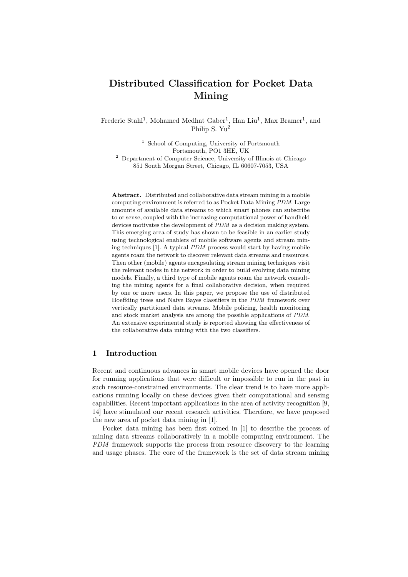# Distributed Classification for Pocket Data Mining

Frederic Stahl<sup>1</sup>, Mohamed Medhat Gaber<sup>1</sup>, Han Liu<sup>1</sup>, Max Bramer<sup>1</sup>, and Philip S. Yu<sup>2</sup>

<sup>1</sup> School of Computing, University of Portsmouth Portsmouth, PO1 3HE, UK <sup>2</sup> Department of Computer Science, University of Illinois at Chicago 851 South Morgan Street, Chicago, IL 60607-7053, USA

Abstract. Distributed and collaborative data stream mining in a mobile computing environment is referred to as Pocket Data Mining PDM. Large amounts of available data streams to which smart phones can subscribe to or sense, coupled with the increasing computational power of handheld devices motivates the development of PDM as a decision making system. This emerging area of study has shown to be feasible in an earlier study using technological enablers of mobile software agents and stream mining techniques [1]. A typical PDM process would start by having mobile agents roam the network to discover relevant data streams and resources. Then other (mobile) agents encapsulating stream mining techniques visit the relevant nodes in the network in order to build evolving data mining models. Finally, a third type of mobile agents roam the network consulting the mining agents for a final collaborative decision, when required by one or more users. In this paper, we propose the use of distributed Hoeffding trees and Naive Bayes classifiers in the PDM framework over vertically partitioned data streams. Mobile policing, health monitoring and stock market analysis are among the possible applications of PDM. An extensive experimental study is reported showing the effectiveness of the collaborative data mining with the two classifiers.

# 1 Introduction

Recent and continuous advances in smart mobile devices have opened the door for running applications that were difficult or impossible to run in the past in such resource-constrained environments. The clear trend is to have more applications running locally on these devices given their computational and sensing capabilities. Recent important applications in the area of activity recognition [9, 14] have stimulated our recent research activities. Therefore, we have proposed the new area of pocket data mining in [1].

Pocket data mining has been first coined in [1] to describe the process of mining data streams collaboratively in a mobile computing environment. The PDM framework supports the process from resource discovery to the learning and usage phases. The core of the framework is the set of data stream mining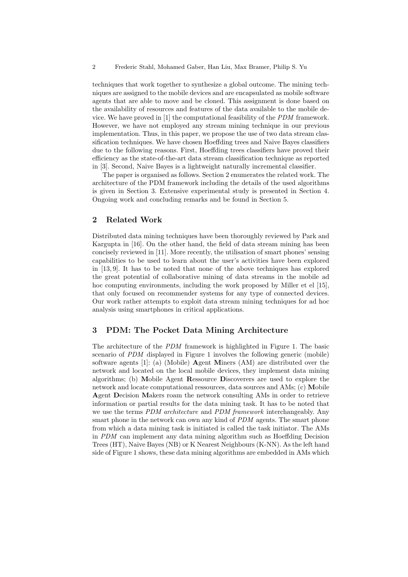techniques that work together to synthesize a global outcome. The mining techniques are assigned to the mobile devices and are encapsulated as mobile software agents that are able to move and be cloned. This assignment is done based on the availability of resources and features of the data available to the mobile device. We have proved in [1] the computational feasibility of the PDM framework. However, we have not employed any stream mining technique in our previous implementation. Thus, in this paper, we propose the use of two data stream classification techniques. We have chosen Hoeffding trees and Naive Bayes classifiers due to the following reasons. First, Hoeffding trees classifiers have proved their efficiency as the state-of-the-art data stream classification technique as reported in [3]. Second, Naive Bayes is a lightweight naturally incremental classifier.

The paper is organised as follows. Section 2 enumerates the related work. The architecture of the PDM framework including the details of the used algorithms is given in Section 3. Extensive experimental study is presented in Section 4. Ongoing work and concluding remarks and be found in Section 5.

#### 2 Related Work

Distributed data mining techniques have been thoroughly reviewed by Park and Kargupta in [16]. On the other hand, the field of data stream mining has been concisely reviewed in [11]. More recently, the utilisation of smart phones' sensing capabilities to be used to learn about the user's activities have been explored in [13, 9]. It has to be noted that none of the above techniques has explored the great potential of collaborative mining of data streams in the mobile ad hoc computing environments, including the work proposed by Miller et el [15], that only focused on recommender systems for any type of connected devices. Our work rather attempts to exploit data stream mining techniques for ad hoc analysis using smartphones in critical applications.

#### 3 PDM: The Pocket Data Mining Architecture

The architecture of the *PDM* framework is highlighted in Figure 1. The basic scenario of PDM displayed in Figure 1 involves the following generic (mobile) software agents [1]: (a) (Mobile) Agent Miners (AM) are distributed over the network and located on the local mobile devices, they implement data mining algorithms; (b) Mobile Agent Ressource Discoverers are used to explore the network and locate computational ressources, data sources and AMs; (c) Mobile Agent Decision Makers roam the network consulting AMs in order to retrieve information or partial results for the data mining task. It has to be noted that we use the terms PDM architecture and PDM framework interchangeably. Any smart phone in the network can own any kind of *PDM* agents. The smart phone from which a data mining task is initiated is called the task initiator. The AMs in PDM can implement any data mining algorithm such as Hoeffding Decision Trees (HT), Naive Bayes (NB) or K Nearest Neighbours (K-NN). As the left hand side of Figure 1 shows, these data mining algorithms are embedded in AMs which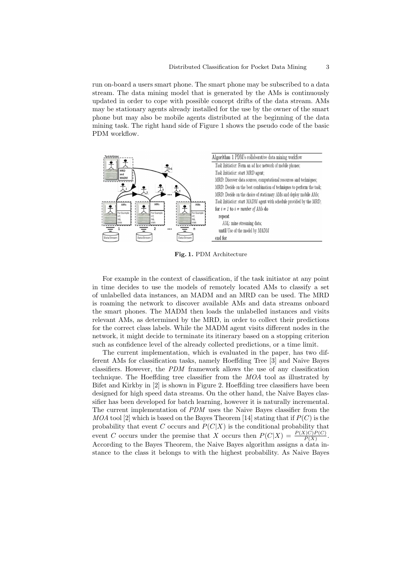run on-board a users smart phone. The smart phone may be subscribed to a data stream. The data mining model that is generated by the AMs is continuously updated in order to cope with possible concept drifts of the data stream. AMs may be stationary agents already installed for the use by the owner of the smart phone but may also be mobile agents distributed at the beginning of the data mining task. The right hand side of Figure 1 shows the pseudo code of the basic PDM workflow.



Fig. 1. PDM Architecture

For example in the context of classification, if the task initiator at any point in time decides to use the models of remotely located AMs to classify a set of unlabelled data instances, an MADM and an MRD can be used. The MRD is roaming the network to discover available AMs and data streams onboard the smart phones. The MADM then loads the unlabelled instances and visits relevant AMs, as determined by the MRD, in order to collect their predictions for the correct class labels. While the MADM agent visits different nodes in the network, it might decide to terminate its itinerary based on a stopping criterion such as confidence level of the already collected predictions, or a time limit.

The current implementation, which is evaluated in the paper, has two different AMs for classification tasks, namely Hoeffding Tree [3] and Naive Bayes classifiers. However, the PDM framework allows the use of any classification technique. The Hoeffding tree classifier from the MOA tool as illustrated by Bifet and Kirkby in [2] is shown in Figure 2. Hoeffding tree classifiers have been designed for high speed data streams. On the other hand, the Naive Bayes classifier has been developed for batch learning, however it is naturally incremental. The current implementation of PDM uses the Naive Bayes classifier from the MOA tool [2] which is based on the Bayes Theorem [14] stating that if  $P(C)$  is the probability that event C occurs and  $P(C|X)$  is the conditional probability that event C occurs under the premise that X occurs then  $P(C|X) = \frac{P(X|C)P(C)}{P(X)}$ . According to the Bayes Theorem, the Naive Bayes algorithm assigns a data instance to the class it belongs to with the highest probability. As Naive Bayes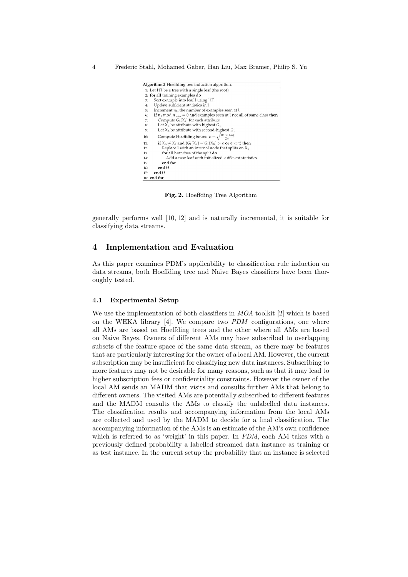| Algorithm 2 Hoeffding tree induction algorithm.                                                                            |  |  |  |
|----------------------------------------------------------------------------------------------------------------------------|--|--|--|
| 1: Let HT be a tree with a single leaf (the root)                                                                          |  |  |  |
| for all training examples do<br>2:                                                                                         |  |  |  |
| Sort example into leaf l using HT<br>3:                                                                                    |  |  |  |
| Update sufficient statistics in l<br>4:                                                                                    |  |  |  |
| Increment $n_l$ , the number of examples seen at $l$<br>5:                                                                 |  |  |  |
| if $n_1$ mod $n_{min} = 0$ and examples seen at l not all of same class then<br>6:                                         |  |  |  |
| Compute $\overline{G}_1(X_i)$ for each attribute<br>7:                                                                     |  |  |  |
| Let $X_a$ be attribute with highest $G_1$<br>8:                                                                            |  |  |  |
| Let $X_b$ be attribute with second-highest $\overline{G}_1$<br>9:                                                          |  |  |  |
| Compute Hoeffding bound $\epsilon = \sqrt{\frac{R^2 \ln(1/\delta)}{2n_1}}$<br>10:                                          |  |  |  |
| if $X_a \neq X_{\emptyset}$ and $(\overline{G}_1(X_a) - \overline{G}_1(X_b) > \epsilon$ or $\epsilon < \tau$ ) then<br>11: |  |  |  |
| Replace 1 with an internal node that splits on $X_{\alpha}$<br>12:                                                         |  |  |  |
| for all branches of the split do<br>13:                                                                                    |  |  |  |
| Add a new leaf with initialized sufficient statistics<br>14:                                                               |  |  |  |
| end for<br>15:                                                                                                             |  |  |  |
| end if<br>16:                                                                                                              |  |  |  |
| end if<br>17:                                                                                                              |  |  |  |
| 18: end for                                                                                                                |  |  |  |
|                                                                                                                            |  |  |  |

Fig. 2. Hoeffding Tree Algorithm

generally performs well [10, 12] and is naturally incremental, it is suitable for classifying data streams.

## 4 Implementation and Evaluation

As this paper examines PDM's applicability to classification rule induction on data streams, both Hoeffding tree and Naive Bayes classifiers have been thoroughly tested.

#### 4.1 Experimental Setup

We use the implementation of both classifiers in MOA toolkit [2] which is based on the WEKA library [4]. We compare two PDM configurations, one where all AMs are based on Hoeffding trees and the other where all AMs are based on Naive Bayes. Owners of different AMs may have subscribed to overlapping subsets of the feature space of the same data stream, as there may be features that are particularly interesting for the owner of a local AM. However, the current subscription may be insufficient for classifying new data instances. Subscribing to more features may not be desirable for many reasons, such as that it may lead to higher subscription fees or confidentiality constraints. However the owner of the local AM sends an MADM that visits and consults further AMs that belong to different owners. The visited AMs are potentially subscribed to different features and the MADM consults the AMs to classify the unlabelled data instances. The classification results and accompanying information from the local AMs are collected and used by the MADM to decide for a final classification. The accompanying information of the AMs is an estimate of the AM's own confidence which is referred to as 'weight' in this paper. In *PDM*, each AM takes with a previously defined probability a labelled streamed data instance as training or as test instance. In the current setup the probability that an instance is selected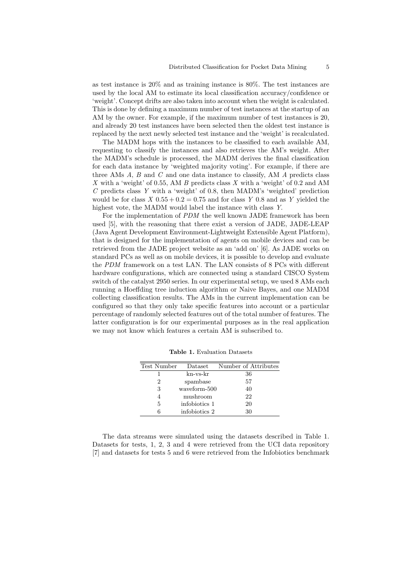as test instance is 20% and as training instance is 80%. The test instances are used by the local AM to estimate its local classification accuracy/confidence or 'weight'. Concept drifts are also taken into account when the weight is calculated. This is done by defining a maximum number of test instances at the startup of an AM by the owner. For example, if the maximum number of test instances is 20, and already 20 test instances have been selected then the oldest test instance is replaced by the next newly selected test instance and the 'weight' is recalculated.

The MADM hops with the instances to be classified to each available AM, requesting to classify the instances and also retrieves the AM's weight. After the MADM's schedule is processed, the MADM derives the final classification for each data instance by 'weighted majority voting'. For example, if there are three AMs  $A, B$  and  $C$  and one data instance to classify, AM  $A$  predicts class  $X$  with a 'weight' of 0.55, AM  $B$  predicts class  $X$  with a 'weight' of 0.2 and AM  $C$  predicts class Y with a 'weight' of 0.8, then MADM's 'weighted' prediction would be for class  $X$  0.55 + 0.2 = 0.75 and for class Y 0.8 and as Y yielded the highest vote, the MADM would label the instance with class Y.

For the implementation of PDM the well known JADE framework has been used [5], with the reasoning that there exist a version of JADE, JADE-LEAP (Java Agent Development Environment-Lightweight Extensible Agent Platform), that is designed for the implementation of agents on mobile devices and can be retrieved from the JADE project website as an 'add on' [6]. As JADE works on standard PCs as well as on mobile devices, it is possible to develop and evaluate the PDM framework on a test LAN. The LAN consists of 8 PCs with different hardware configurations, which are connected using a standard CISCO System switch of the catalyst 2950 series. In our experimental setup, we used 8 AMs each running a Hoeffding tree induction algorithm or Naive Bayes, and one MADM collecting classification results. The AMs in the current implementation can be configured so that they only take specific features into account or a particular percentage of randomly selected features out of the total number of features. The latter configuration is for our experimental purposes as in the real application we may not know which features a certain AM is subscribed to.

| <b>Test Number</b> | Dataset       | Number of Attributes |
|--------------------|---------------|----------------------|
|                    | kn-vs-kr      | 36                   |
| 2                  | spambase      | 57                   |
| 3                  | waveform-500  | 40                   |
|                    | mushroom      | 22                   |
| 5                  | infobiotics 1 | 20                   |
|                    | infobiotics 2 | 30                   |

Table 1. Evaluation Datasets

The data streams were simulated using the datasets described in Table 1. Datasets for tests, 1, 2, 3 and 4 were retrieved from the UCI data repository [7] and datasets for tests 5 and 6 were retrieved from the Infobiotics benchmark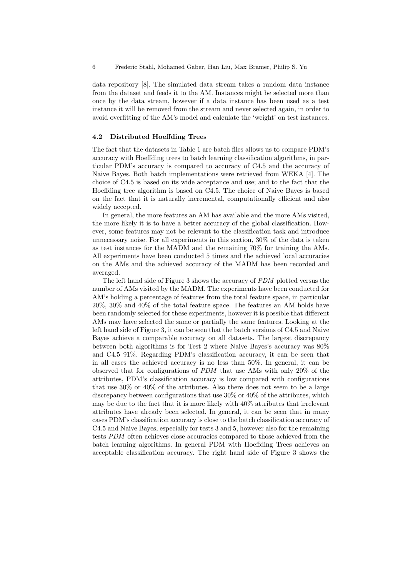data repository [8]. The simulated data stream takes a random data instance from the dataset and feeds it to the AM. Instances might be selected more than once by the data stream, however if a data instance has been used as a test instance it will be removed from the stream and never selected again, in order to avoid overfitting of the AM's model and calculate the 'weight' on test instances.

#### 4.2 Distributed Hoeffding Trees

The fact that the datasets in Table 1 are batch files allows us to compare PDM's accuracy with Hoeffding trees to batch learning classification algorithms, in particular PDM's accuracy is compared to accuracy of C4.5 and the accuracy of Naive Bayes. Both batch implementations were retrieved from WEKA [4]. The choice of C4.5 is based on its wide acceptance and use; and to the fact that the Hoeffding tree algorithm is based on C4.5. The choice of Naive Bayes is based on the fact that it is naturally incremental, computationally efficient and also widely accepted.

In general, the more features an AM has available and the more AMs visited, the more likely it is to have a better accuracy of the global classification. However, some features may not be relevant to the classification task and introduce unnecessary noise. For all experiments in this section, 30% of the data is taken as test instances for the MADM and the remaining 70% for training the AMs. All experiments have been conducted 5 times and the achieved local accuracies on the AMs and the achieved accuracy of the MADM has been recorded and averaged.

The left hand side of Figure 3 shows the accuracy of PDM plotted versus the number of AMs visited by the MADM. The experiments have been conducted for AM's holding a percentage of features from the total feature space, in particular 20%, 30% and 40% of the total feature space. The features an AM holds have been randomly selected for these experiments, however it is possible that different AMs may have selected the same or partially the same features. Looking at the left hand side of Figure 3, it can be seen that the batch versions of C4.5 and Naive Bayes achieve a comparable accuracy on all datasets. The largest discrepancy between both algorithms is for Test 2 where Naive Bayes's accuracy was 80% and C4.5 91%. Regarding PDM's classification accuracy, it can be seen that in all cases the achieved accuracy is no less than 50%. In general, it can be observed that for configurations of PDM that use AMs with only 20% of the attributes, PDM's classification accuracy is low compared with configurations that use 30% or 40% of the attributes. Also there does not seem to be a large discrepancy between configurations that use 30% or 40% of the attributes, which may be due to the fact that it is more likely with 40% attributes that irrelevant attributes have already been selected. In general, it can be seen that in many cases PDM's classification accuracy is close to the batch classification accuracy of C4.5 and Naive Bayes, especially for tests 3 and 5, however also for the remaining tests PDM often achieves close accuracies compared to those achieved from the batch learning algorithms. In general PDM with Hoeffding Trees achieves an acceptable classification accuracy. The right hand side of Figure 3 shows the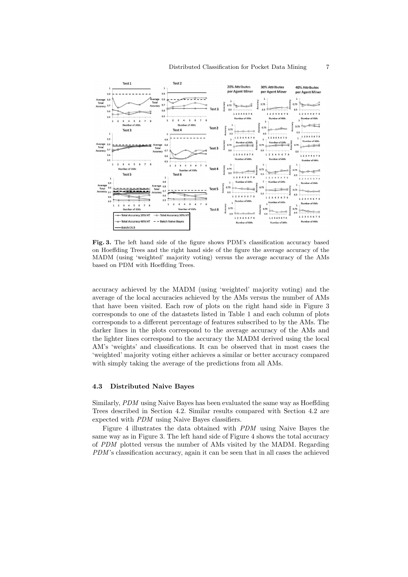

Fig. 3. The left hand side of the figure shows PDM's classification accuracy based on Hoeffding Trees and the right hand side of the figure the average accuracy of the MADM (using 'weighted' majority voting) versus the average accuracy of the AMs based on PDM with Hoeffding Trees.

accuracy achieved by the MADM (using 'weighted' majority voting) and the average of the local accuracies achieved by the AMs versus the number of AMs that have been visited. Each row of plots on the right hand side in Figure 3 corresponds to one of the datastets listed in Table 1 and each column of plots corresponds to a different percentage of features subscribed to by the AMs. The darker lines in the plots correspond to the average accuracy of the AMs and the lighter lines correspond to the accuracy the MADM derived using the local AM's 'weights' and classifications. It can be observed that in most cases the 'weighted' majority voting either achieves a similar or better accuracy compared with simply taking the average of the predictions from all AMs.

## 4.3 Distributed Naive Bayes

Similarly, PDM using Naive Bayes has been evaluated the same way as Hoeffding Trees described in Section 4.2. Similar results compared with Section 4.2 are expected with PDM using Naive Bayes classifiers.

Figure 4 illustrates the data obtained with PDM using Naive Bayes the same way as in Figure 3. The left hand side of Figure 4 shows the total accuracy of PDM plotted versus the number of AMs visited by the MADM. Regarding PDM's classification accuracy, again it can be seen that in all cases the achieved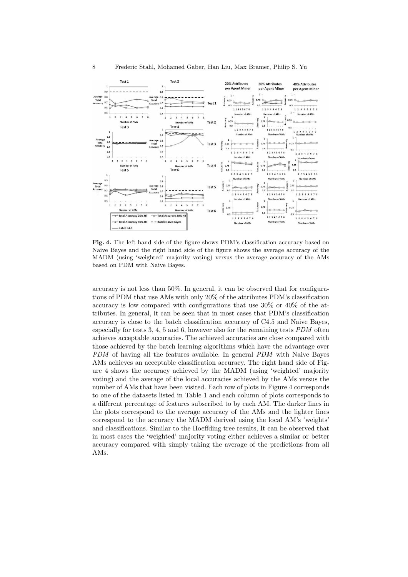

Fig. 4. The left hand side of the figure shows PDM's classification accuracy based on Naive Bayes and the right hand side of the figure shows the average accuracy of the MADM (using 'weighted' majority voting) versus the average accuracy of the AMs based on PDM with Naive Bayes.

accuracy is not less than 50%. In general, it can be observed that for configurations of PDM that use AMs with only 20% of the attributes PDM's classification accuracy is low compared with configurations that use 30% or 40% of the attributes. In general, it can be seen that in most cases that PDM's classification accuracy is close to the batch classification accuracy of C4.5 and Naive Bayes, especially for tests  $3, 4, 5$  and  $6$ , however also for the remaining tests *PDM* often achieves acceptable accuracies. The achieved accuracies are close compared with those achieved by the batch learning algorithms which have the advantage over PDM of having all the features available. In general PDM with Naive Bayes AMs achieves an acceptable classification accuracy. The right hand side of Figure 4 shows the accuracy achieved by the MADM (using 'weighted' majority voting) and the average of the local accuracies achieved by the AMs versus the number of AMs that have been visited. Each row of plots in Figure 4 corresponds to one of the datasets listed in Table 1 and each column of plots corresponds to a different percentage of features subscribed to by each AM. The darker lines in the plots correspond to the average accuracy of the AMs and the lighter lines correspond to the accuracy the MADM derived using the local AM's 'weights' and classifications. Similar to the Hoeffding tree results, It can be observed that in most cases the 'weighted' majority voting either achieves a similar or better accuracy compared with simply taking the average of the predictions from all AMs.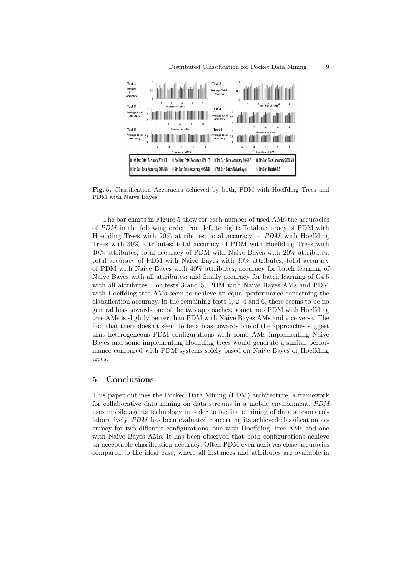

Fig. 5. Classification Accuracies achieved by both, PDM with Hoeffding Trees and PDM with Naive Bayes.

The bar charts in Figure 5 show for each number of used AMs the accuracies of PDM in the following order from left to right: Total accuracy of PDM with Hoeffding Trees with 20% attributes; total accuracy of PDM with Hoeffding Trees with 30% attributes; total accuracy of PDM with Hoeffding Trees with 40% attributes; total accuracy of PDM with Naive Bayes with 20% attributes; total accuracy of PDM with Naive Bayes with 30% attributes; total accuracy of PDM with Naive Bayes with 40% attributes; accuracy for batch learning of Naive Bayes with all attributes; and finally accuracy for batch learning of C4.5 with all attributes. For tests 3 and 5, PDM with Naive Bayes AMs and PDM with Hoeffding tree AMs seem to achieve an equal performance concerning the classification accuracy. In the remaining tests 1, 2, 4 and 6, there seems to be no general bias towards one of the two approaches, sometimes PDM with Hoeffding tree AMs is slightly better than PDM with Naive Bayes AMs and vice versa. The fact that there doesn't seem to be a bias towards one of the approaches suggest that heterogeneous PDM configurations with some AMs implementing Naive Bayes and some implementing Hoeffding trees would generate a similar performance compared with PDM systems solely based on Naive Bayes or Hoeffding trees.

### 5 Conclusions

This paper outlines the Pocked Data Mining (PDM) architecture, a framework for collaborative data mining on data streams in a mobile environment. PDM uses mobile agents technology in order to facilitate mining of data streams collaboratively. PDM has been evaluated concerning its achieved classification accuracy for two different configurations, one with Hoeffding Tree AMs and one with Naive Bayes AMs. It has been observed that both configurations achieve an acceptable classification accuracy. Often PDM even achieves close accuracies compared to the ideal case, where all instances and attributes are available in